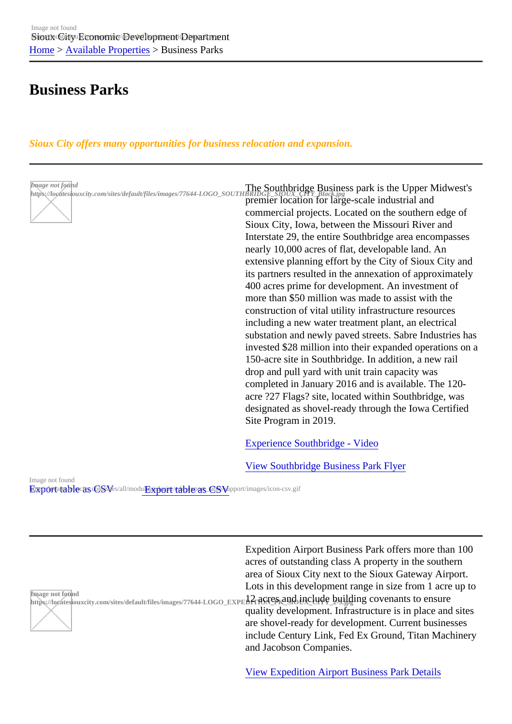# [Bus](https://locatesiouxcity.com/)i[ness Parks](https://locatesiouxcity.com/available-properties)

Sioux City offers many opportunities for business relocation and expansion.

| Image not found | Image not found<br>https://locatesiouxcity.com/sites/default/files/images/77644-LOGO_SOUTHBRIDGE_SIOUX_CITY_Black.jpg<br>premier location for large-scale industrial and<br>commercial projects. Located on the southern edge of<br>Sioux City, Iowa, between the Missouri River and<br>Interstate 29, the entire Southbridge area encompasses<br>nearly 10,000 acres of flat, developable land. An<br>extensive planning effort by the City of Sioux City and<br>its partners resulted in the annexation of approximately<br>400 acres prime for development. An investment of<br>more than \$50 million was made to assist with the<br>construction of vital utility infrastructure resources<br>including a new water treatment plant, an electrical<br>substation and newly paved streets. Sabre Industries has<br>invested \$28 million into their expanded operations on a<br>150-acre site in Southbridge. In addition, a new rail<br>drop and pull yard with unit train capacity was<br>completed in January 2016 and is available. The 120-<br>acre ?27 Flags? site, located within Southbridge, was<br>designated as shovel-ready through the lowa Certified<br>Site Program in 2019. |
|-----------------|-------------------------------------------------------------------------------------------------------------------------------------------------------------------------------------------------------------------------------------------------------------------------------------------------------------------------------------------------------------------------------------------------------------------------------------------------------------------------------------------------------------------------------------------------------------------------------------------------------------------------------------------------------------------------------------------------------------------------------------------------------------------------------------------------------------------------------------------------------------------------------------------------------------------------------------------------------------------------------------------------------------------------------------------------------------------------------------------------------------------------------------------------------------------------------------------------|
|                 | <b>Experience Southbridge - Video</b>                                                                                                                                                                                                                                                                                                                                                                                                                                                                                                                                                                                                                                                                                                                                                                                                                                                                                                                                                                                                                                                                                                                                                           |

View Southbridge Business Park Flyer Exportatable as CSVs/all/moExport table\_as CSVe/[support/images/icon-csv.gif](https://vimeo.com/106861009) Image not found

Image not found inlage hot lourid<br>https://locatesiouxcity.com/sites/default/files/images/77644-LOGO\_EXP**L2**|RCICP<sub>K</sub>and\_include\_building covenants to ensure Expedition Airport Business Park offers more than 100 acres of outstanding class A property in the southern area of Sioux City next to the Sioux Gateway Airport. Lots in this development range in size from 1 acre up to quality development. Infrastructure is in place and sites are shovel-ready for development. Current businesses include Century Link, Fed Ex Ground, Titan Machinery and Jacobson Companies.

View Expedition Airport Business Park Details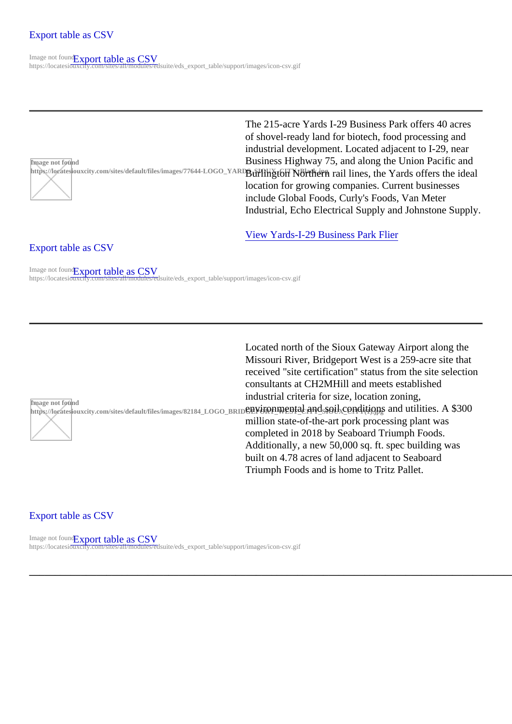Image not found https://locatesiouxcity.com/sites/default/files/images/77644-LOGO\_Y The 215-acre Yards I-29 Business Park offers 40 acres of shovel-ready land for biotech, food processing and industrial development. Located adjacent to I-29, near Business Highway 75, and along the Union Pacific and Burlington Northern rail lines, the Yards offers the ideal location for growing companies. Current businesses include Global Foods, Curly's Foods, Van Meter Industrial, Echo Electrical Supply and Johnstone Supply.

# Export table as CSV

View Yards-I-29 Business Park Flier

[\\_\\_\\_\\_\\_\\_\\_\\_\\_\\_\\_\\_\\_\\_\\_\\_\\_\\_\\_\\_\\_\\_\\_](https://locatesiouxcity.com/eds/export_table/5/4)\_\_\_\_\_\_\_\_\_\_\_\_\_\_\_\_\_\_\_\_\_\_\_\_\_\_\_\_\_\_\_\_\_\_\_\_\_\_\_\_\_\_\_\_\_\_\_\_\_\_\_\_\_\_\_\_\_\_\_\_\_\_\_\_\_\_\_\_\_\_\_\_\_\_\_\_\_\_\_\_\_\_\_\_\_\_\_\_\_\_\_\_\_\_\_\_\_\_\_\_\_\_\_\_\_\_\_\_\_\_\_\_\_\_\_\_\_\_\_\_\_\_\_\_\_\_\_\_\_\_\_\_\_\_\_\_\_\_\_\_\_\_\_\_\_\_\_\_\_\_\_\_\_\_\_\_\_\_

Image not four<sup>Export</sup> table as CSV https://locatesiouxcity.com/sites/all/modules/edsuite/eds\_export\_table/[support/images/icon-csv.gif](https://locatesiouxcity.com/sites/default/files/files/The Yards_2 page_RD(1).pdf)

Image not found inage horioding<br>https://locatesiouxcity.com/sites/default/files/images/82184\_LOGO\_BR**ONYLIORM\_RENALCANOSSOIX\_CONCITIONS and utilities. A \$300** Located north of the Sioux Gateway Airport along the Missouri River, Bridgeport West is a 259-acre site that received "site certification" status from the site selection consultants at CH2MHill and meets established industrial criteria for size, location zoning, million state-of-the-art pork processing plant was completed in 2018 by Seaboard Triumph Foods. Additionally, a new 50,000 sq. ft. spec building was built on 4.78 acres of land adjacent to Seaboard Triumph Foods and is home to Tritz Pallet.

#### Export table as CSV

Image not four<sup>Export</sup> table as CSV https://locatesiouxcity.com/sites/all/modules/edsuite/eds\_export\_table/support/images/icon-csv.gif